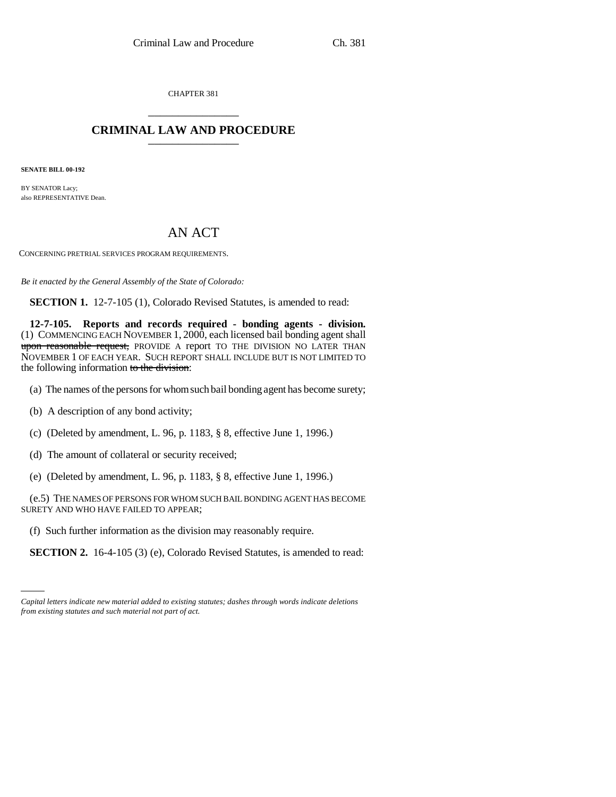CHAPTER 381 \_\_\_\_\_\_\_\_\_\_\_\_\_\_\_

## **CRIMINAL LAW AND PROCEDURE** \_\_\_\_\_\_\_\_\_\_\_\_\_\_\_

**SENATE BILL 00-192** 

BY SENATOR Lacy; also REPRESENTATIVE Dean.

## AN ACT

CONCERNING PRETRIAL SERVICES PROGRAM REQUIREMENTS.

*Be it enacted by the General Assembly of the State of Colorado:*

**SECTION 1.** 12-7-105 (1), Colorado Revised Statutes, is amended to read:

**12-7-105. Reports and records required - bonding agents - division.** (1) COMMENCING EACH NOVEMBER 1, 2000, each licensed bail bonding agent shall upon reasonable request, PROVIDE A report TO THE DIVISION NO LATER THAN NOVEMBER 1 OF EACH YEAR. SUCH REPORT SHALL INCLUDE BUT IS NOT LIMITED TO the following information to the division:

- (a) The names of the persons for whom such bail bonding agent has become surety;
- (b) A description of any bond activity;
- (c) (Deleted by amendment, L. 96, p. 1183, § 8, effective June 1, 1996.)
- (d) The amount of collateral or security received;
- (e) (Deleted by amendment, L. 96, p. 1183, § 8, effective June 1, 1996.)

(e.5) THE NAMES OF PERSONS FOR WHOM SUCH BAIL BONDING AGENT HAS BECOME SURETY AND WHO HAVE FAILED TO APPEAR;

(f) Such further information as the division may reasonably require.

**SECTION 2.** 16-4-105 (3) (e), Colorado Revised Statutes, is amended to read:

*Capital letters indicate new material added to existing statutes; dashes through words indicate deletions from existing statutes and such material not part of act.*